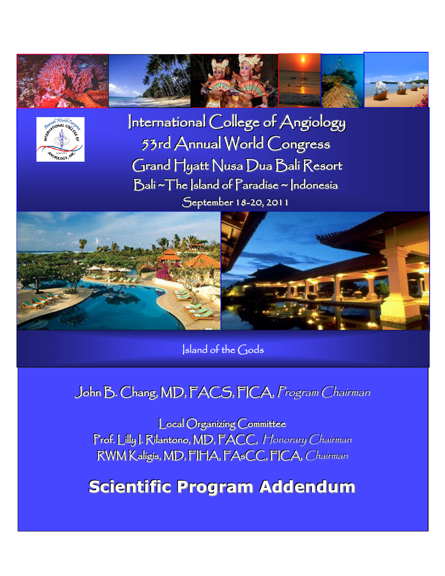



International College of Angiology 53rd Annual World Congress Grand Hyatt Nusa Dua Balí Resort Bali ~ The Island of Paradise ~ Indonesia September 18-20, 2011



sland of the Gods

# John B. Chang, MD, FACS, FICA, Program Chairman

**Local Organizing Committee** Prof. Lilly J. Rilantono, MD, FACC, Honorary Chairman RWM Kaligis, MD, FIHA, FAsCC, FICA, Chairman

**Scientific Program Addendum**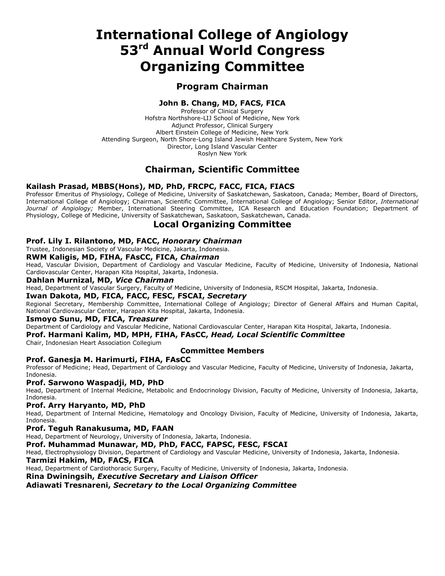# **International College of Angiology 53rd Annual World Congress Organizing Committee**

# **Program Chairman**

## **John B. Chang, MD, FACS, FICA**

Professor of Clinical Surgery Hofstra Northshore-LIJ School of Medicine, New York Adjunct Professor, Clinical Surgery Albert Einstein College of Medicine, New York Attending Surgeon, North Shore-Long Island Jewish Healthcare System, New York Director, Long Island Vascular Center Roslyn New York

# **Chairman, Scientific Committee**

### **Kailash Prasad, MBBS(Hons), MD, PhD, FRCPC, FACC, FICA, FIACS**

Professor Emeritus of Physiology, College of Medicine, University of Saskatchewan, Saskatoon, Canada; Member, Board of Directors, International College of Angiology; Chairman, Scientific Committee, International College of Angiology; Senior Editor, *International Journal of Angiology;* Member, International Steering Committee, ICA Research and Education Foundation; Department of Physiology, College of Medicine, University of Saskatchewan, Saskatoon, Saskatchewan, Canada.

# **Local Organizing Committee**

### **Prof. Lily I. Rilantono, MD, FACC,** *Honorary Chairman*

Trustee, Indonesian Society of Vascular Medicine, Jakarta, Indonesia.

### **RWM Kaligis, MD, FIHA, FAsCC, FICA,** *Chairman*

Head, Vascular Division, Department of Cardiology and Vascular Medicine, Faculty of Medicine, University of Indonesia, National Cardiovascular Center, Harapan Kita Hospital, Jakarta, Indonesia.

### **Dahlan Murnizal, MD,** *Vice Chairman*

Head, Department of Vascular Surgery, Faculty of Medicine, University of Indonesia, RSCM Hospital, Jakarta, Indonesia.

### **Iwan Dakota, MD, FICA, FACC, FESC, FSCAI,** *Secretary*

Regional Secretary, Membership Committee, International College of Angiology; Director of General Affairs and Human Capital, National Cardiovascular Center, Harapan Kita Hospital, Jakarta, Indonesia.

### **Ismoyo Sunu, MD, FICA,** *Treasurer*

Department of Cardiology and Vascular Medicine, National Cardiovascular Center, Harapan Kita Hospital, Jakarta, Indonesia.

**Prof. Harmani Kalim, MD, MPH, FIHA, FAsCC,** *Head, Local Scientific Committee*

Chair, Indonesian Heart Association Collegium

### **Committee Members**

### **Prof. Ganesja M. Harimurti, FIHA, FAsCC**

Professor of Medicine; Head, Department of Cardiology and Vascular Medicine, Faculty of Medicine, University of Indonesia, Jakarta, Indonesia.

### **Prof. Sarwono Waspadji, MD, PhD**

Head, Department of Internal Medicine, Metabolic and Endocrinology Division, Faculty of Medicine, University of Indonesia, Jakarta, Indonesia.

### **Prof. Arry Haryanto, MD, PhD**

Head, Department of Internal Medicine, Hematology and Oncology Division, Faculty of Medicine, University of Indonesia, Jakarta, Indonesia.

### **Prof. Teguh Ranakusuma, MD, FAAN**

Head, Department of Neurology, University of Indonesia, Jakarta, Indonesia.

#### **Prof. Muhammad Munawar, MD, PhD, FACC, FAPSC, FESC, FSCAI**

Head, Electrophysiology Division, Department of Cardiology and Vascular Medicine, University of Indonesia, Jakarta, Indonesia.

### **Tarmizi Hakim, MD, FACS, FICA**

Head, Department of Cardiothoracic Surgery, Faculty of Medicine, University of Indonesia, Jakarta, Indonesia.

### **Rina Dwiningsih,** *Executive Secretary and Liaison Officer*

### **Adiawati Tresnareni,** *Secretary to the Local Organizing Committee*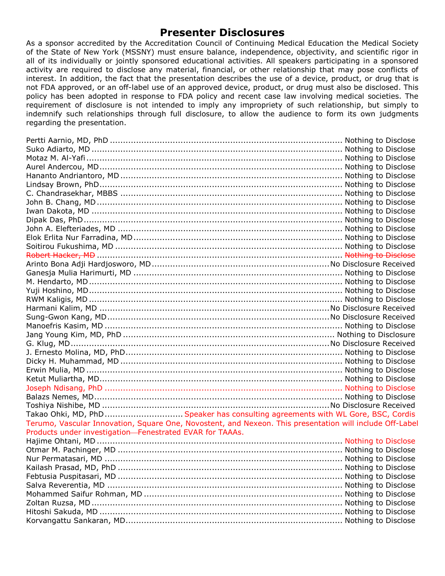# **Presenter Disclosures**

As a sponsor accredited by the Accreditation Council of Continuing Medical Education the Medical Society of the State of New York (MSSNY) must ensure balance, independence, objectivity, and scientific rigor in all of its individually or jointly sponsored educational activities. All speakers participating in a sponsored activity are required to disclose any material, financial, or other relationship that may pose conflicts of interest. In addition, the fact that the presentation describes the use of a device, product, or drug that is not FDA approved, or an off-label use of an approved device, product, or drug must also be disclosed. This policy has been adopted in response to FDA policy and recent case law involving medical societies. The requirement of disclosure is not intended to imply any impropriety of such relationship, but simply to indemnify such relationships through full disclosure, to allow the audience to form its own judgments regarding the presentation.

| Takao Ohki, MD, PhD Speaker has consulting agreements with WL Gore, BSC, Cordis                          |  |
|----------------------------------------------------------------------------------------------------------|--|
| Terumo, Vascular Innovation, Square One, Novostent, and Nexeon. This presentation will include Off-Label |  |
| Products under investigation-Fenestrated EVAR for TAAAs.                                                 |  |
|                                                                                                          |  |
|                                                                                                          |  |
|                                                                                                          |  |
|                                                                                                          |  |
|                                                                                                          |  |
|                                                                                                          |  |
|                                                                                                          |  |
|                                                                                                          |  |
|                                                                                                          |  |
|                                                                                                          |  |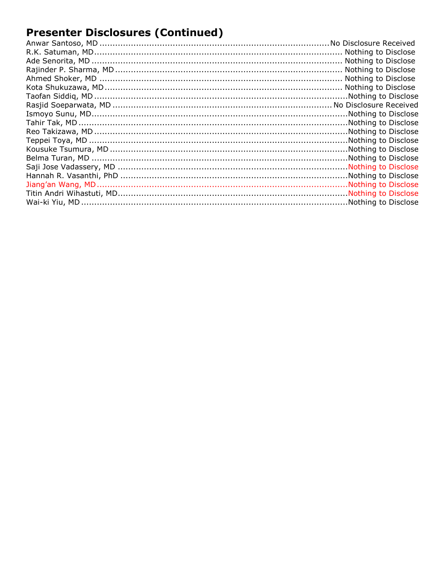# **Presenter Disclosures (Continued)**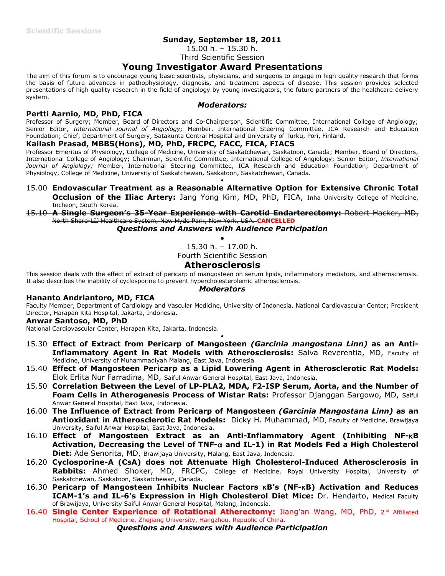## **Sunday, September 18, 2011**

15.00 h. – 15.30 h.

# Third Scientific Session

# **Young Investigator Award Presentations**

The aim of this forum is to encourage young basic scientists, physicians, and surgeons to engage in high quality research that forms the basis of future advances in pathophysiology, diagnosis, and treatment aspects of disease. This session provides selected presentations of high quality research in the field of angiology by young investigators, the future partners of the healthcare delivery system.

#### *Moderators:*

### **Pertti Aarnio, MD, PhD, FICA**

Professor of Surgery; Member, Board of Directors and Co-Chairperson, Scientific Committee, International College of Angiology; Senior Editor, *International Journal of Angiology;* Member, International Steering Committee, ICA Research and Education Foundation; Chief, Department of Surgery, Satakunta Central Hospital and University of Turku, Pori, Finland.

### **Kailash Prasad, MBBS(Hons), MD, PhD, FRCPC, FACC, FICA, FIACS**

Professor Emeritus of Physiology, College of Medicine, University of Saskatchewan, Saskatoon, Canada; Member, Board of Directors, International College of Angiology; Chairman, Scientific Committee, International College of Angiology; Senior Editor, *International Journal of Angiology;* Member, International Steering Committee, ICA Research and Education Foundation; Department of Physiology, College of Medicine, University of Saskatchewan, Saskatoon, Saskatchewan, Canada.

15.00 **Endovascular Treatment as a Reasonable Alternative Option for Extensive Chronic Total Occlusion of the Iliac Artery:** Jang Yong Kim, MD, PhD, FICA, Inha University College of Medicine, Incheon, South Korea.

 $\bullet$ 

# 15.10 **A Single Surgeon's 35-Year Experience with Carotid Endarterectomy:** Robert Hacker, MD, North Shore-LIJ Healthcare System, New Hyde Park, New York, USA. **CANCELLED**

*Questions and Answers with Audience Participation*

 $\bullet$ 

15.30 h. – 17.00 h.

Fourth Scientific Session

## **Atherosclerosis**

This session deals with the effect of extract of pericarp of mangosteen on serum lipids, inflammatory mediators, and atherosclerosis. It also describes the inability of cyclosporine to prevent hypercholesterolemic atherosclerosis.

### *Moderators*

### **Hananto Andriantoro, MD, FICA**

Faculty Member, Department of Cardiology and Vascular Medicine, University of Indonesia, National Cardiovascular Center; President Director, Harapan Kita Hospital, Jakarta, Indonesia.

### **Anwar Santoso, MD, PhD**

National Cardiovascular Center, Harapan Kita, Jakarta, Indonesia.

15.30 **Effect of Extract from Pericarp of Mangosteen** *(Garcinia mangostana Linn)* **as an Anti-Inflammatory Agent in Rat Models with Atherosclerosis:** Salva Reverentia, MD, Faculty of Medicine, University of Muhammadiyah Malang, East Java, Indonesia

 $\bullet$ 

- 15.40 **Effect of Mangosteen Pericarp as a Lipid Lowering Agent in Atherosclerotic Rat Models:** Elok Erlita Nur Farradina, MD, Saiful Anwar General Hospital, East Java, Indonesia.
- 15.50 **Correlation Between the Level of LP-PLA2, MDA, F2-ISP Serum, Aorta, and the Number of Foam Cells in Atherogenesis Process of Wistar Rats:** Professor Djanggan Sargowo, MD, Saiful Anwar General Hospital, East Java, Indonesia.
- 16.00 **The Influence of Extract from Pericarp of Mangosteen** *(Garcinia Mangostana Linn)* **as an Antioxidant in Atherosclerotic Rat Models:** Dicky H. Muhammad, MD, Faculty of Medicine, Brawijaya University, Saiful Anwar Hospital, East Java, Indonesia.
- 16.10 **Effect of Mangosteen Extract as an Anti-Inflammatory Agent (Inhibiting NF-B Activation, Decreasing the Level of TNF- and IL-1) in Rat Models Fed a High Cholesterol Diet:** Ade Senorita, MD, Brawijaya University, Malang, East Java, Indonesia.
- 16.20 **Cyclosporine-A (CsA) does not Attenuate High Cholesterol-Induced Atherosclerosis in Rabbits:** Ahmed Shoker, MD, FRCPC, College of Medicine, Royal University Hospital, University of Saskatchewan, Saskatoon, Saskatchewan, Canada.
- 16.30 **Pericarp of Mangosteen Inhibits Nuclear Factors B's (NF-B) Activation and Reduces ICAM-1's and IL-6's Expression in High Cholesterol Diet Mice:** Dr. Hendarto, Medical Faculty of Brawijaya, University Saiful Anwar General Hospital, Malang, Indonesia.
- 16.40 **Single Center Experience of Rotational Atherectomy:** Jiang'an Wang, MD, PhD, 2<sup>nd</sup> Affiliated Hospital, School of Medicine, Zhejiang University, Hangzhou, Republic of China.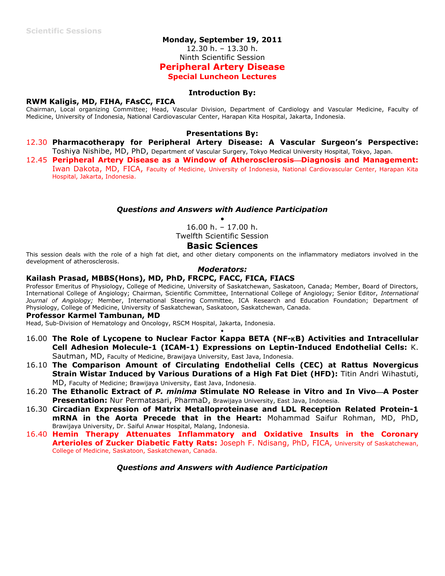### **Monday, September 19, 2011**

12.30 h. – 13.30 h.

Ninth Scientific Session

### **Peripheral Artery Disease**

**Special Luncheon Lectures**

### **Introduction By:**

### **RWM Kaligis, MD, FIHA, FAsCC, FICA**

Chairman, Local organizing Committee; Head, Vascular Division, Department of Cardiology and Vascular Medicine, Faculty of Medicine, University of Indonesia, National Cardiovascular Center, Harapan Kita Hospital, Jakarta, Indonesia.

### **Presentations By:**

- 12.30 **Pharmacotherapy for Peripheral Artery Disease: A Vascular Surgeon's Perspective:** Toshiya Nishibe, MD, PhD, Department of Vascular Surgery, Tokyo Medical University Hospital, Tokyo, Japan.
- 12.45 **Peripheral Artery Disease as a Window of AtherosclerosisDiagnosis and Management:** Iwan Dakota, MD, FICA, Faculty of Medicine, University of Indonesia, National Cardiovascular Center, Harapan Kita Hospital, Jakarta, Indonesia.

### *Questions and Answers with Audience Participation*

 $\bullet$ 16.00 h. – 17.00 h.

Twelfth Scientific Session

### **Basic Sciences**

This session deals with the role of a high fat diet, and other dietary components on the inflammatory mediators involved in the development of atherosclerosis.

### *Moderators:*

### **Kailash Prasad, MBBS(Hons), MD, PhD, FRCPC, FACC, FICA, FIACS**

Professor Emeritus of Physiology, College of Medicine, University of Saskatchewan, Saskatoon, Canada; Member, Board of Directors, International College of Angiology; Chairman, Scientific Committee, International College of Angiology; Senior Editor, *International Journal of Angiology;* Member, International Steering Committee, ICA Research and Education Foundation; Department of Physiology, College of Medicine, University of Saskatchewan, Saskatoon, Saskatchewan, Canada.

#### **Professor Karmel Tambunan, MD**

Head, Sub-Division of Hematology and Oncology, RSCM Hospital, Jakarta, Indonesia.

16.00 **The Role of Lycopene to Nuclear Factor Kappa BETA (NF-B) Activities and Intracellular Cell Adhesion Molecule-1 (ICAM-1) Expressions on Leptin-Induced Endothelial Cells:** K. Sautman, MD, Faculty of Medicine, Brawijaya University, East Java, Indonesia.

 $\bullet$ 

- 16.10 **The Comparison Amount of Circulating Endothelial Cells (CEC) at Rattus Novergicus Strain Wistar Induced by Various Durations of a High Fat Diet (HFD):** Titin Andri Wihastuti, MD, Faculty of Medicine; Brawijaya University, East Java, Indonesia.
- 16.20 **The Ethanolic Extract of** *P. minima* **Stimulate NO Release in Vitro and In VivoA Poster Presentation:** Nur Permatasari, PharmaD, Brawijaya University, East Java, Indonesia.
- 16.30 **Circadian Expression of Matrix Metalloproteinase and LDL Reception Related Protein-1 mRNA in the Aorta Precede that in the Heart:** Mohammad Saifur Rohman, MD, PhD, Brawijaya University, Dr. Saiful Anwar Hospital, Malang, Indonesia.
- 16.40 **Hemin Therapy Attenuates Inflammatory and Oxidative Insults in the Coronary Arterioles of Zucker Diabetic Fatty Rats:** Joseph F. Ndisang, PhD, FICA, University of Saskatchewan, College of Medicine, Saskatoon, Saskatchewan, Canada.

### *Questions and Answers with Audience Participation*